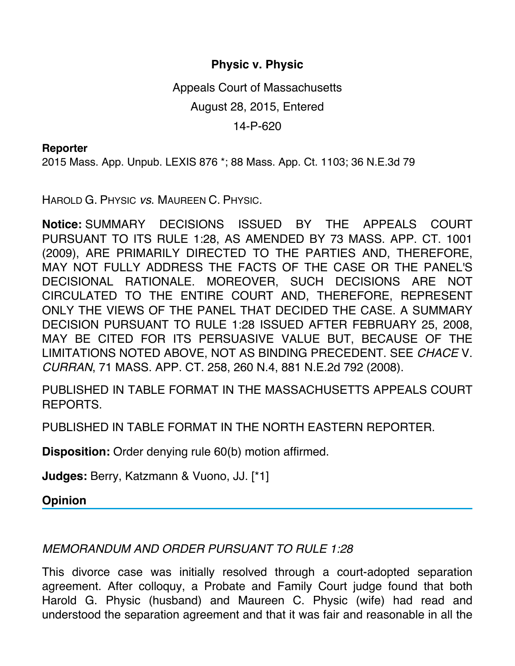## **Physic v. Physic**

Appeals Court of Massachusetts August 28, 2015, Entered 14-P-620

## **Reporter**

2015 Mass. App. Unpub. LEXIS 876 \*; 88 Mass. App. Ct. 1103; 36 N.E.3d 79

HAROLD G. PHYSIC *vs*. MAUREEN C. PHYSIC.

**Notice:** SUMMARY DECISIONS ISSUED BY THE APPEALS COURT PURSUANT TO ITS RULE 1:28, AS AMENDED BY 73 MASS. APP. CT. 1001 (2009), ARE PRIMARILY DIRECTED TO THE PARTIES AND, THEREFORE, MAY NOT FULLY ADDRESS THE FACTS OF THE CASE OR THE PANEL'S DECISIONAL RATIONALE. MOREOVER, SUCH DECISIONS ARE NOT CIRCULATED TO THE ENTIRE COURT AND, THEREFORE, REPRESENT ONLY THE VIEWS OF THE PANEL THAT DECIDED THE CASE. A SUMMARY DECISION PURSUANT TO RULE 1:28 ISSUED AFTER FEBRUARY 25, 2008, MAY BE CITED FOR ITS PERSUASIVE VALUE BUT, BECAUSE OF THE LIMITATIONS NOTED ABOVE, NOT AS BINDING PRECEDENT. SEE *CHACE* V. *CURRAN*, 71 MASS. APP. CT. 258, 260 N.4, 881 N.E.2d 792 (2008).

PUBLISHED IN TABLE FORMAT IN THE MASSACHUSETTS APPEALS COURT REPORTS.

PUBLISHED IN TABLE FORMAT IN THE NORTH EASTERN REPORTER.

**Disposition:** Order denying rule 60(b) motion affirmed.

**Judges:** Berry, Katzmann & Vuono, JJ. [\*1]

**Opinion**

## *MEMORANDUM AND ORDER PURSUANT TO RULE 1:28*

This divorce case was initially resolved through a court-adopted separation agreement. After colloquy, a Probate and Family Court judge found that both Harold G. Physic (husband) and Maureen C. Physic (wife) had read and understood the separation agreement and that it was fair and reasonable in all the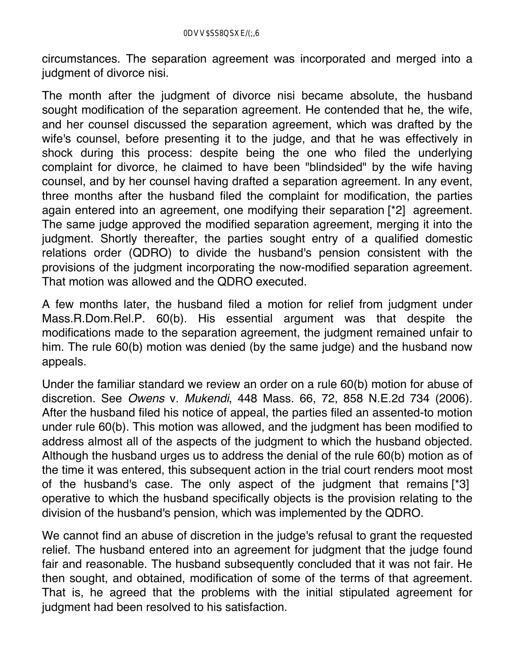circumstances. The separation agreement was incorporated and merged into a judgment of divorce nisi.

The month after the judgment of divorce nisi became absolute, the husband sought modification of the separation agreement. He contended that he, the wife, and her counsel discussed the separation agreement, which was drafted by the wife's counsel, before presenting it to the judge, and that he was effectively in shock during this process: despite being the one who filed the underlying complaint for divorce, he claimed to have been "blindsided" by the wife having counsel, and by her counsel having drafted a separation agreement. In any event, three months after the husband filed the complaint for modification, the parties again entered into an agreement, one modifying their separation [\*2] agreement. The same judge approved the modified separation agreement, merging it into the judgment. Shortly thereafter, the parties sought entry of a qualified domestic relations order (QDRO) to divide the husband's pension consistent with the provisions of the judgment incorporating the now-modified separation agreement. That motion was allowed and the QDRO executed.

A few months later, the husband filed a motion for relief from judgment under Mass.R.Dom.Rel.P. 60(b). His essential argument was that despite the modifications made to the separation agreement, the judgment remained unfair to him. The rule 60(b) motion was denied (by the same judge) and the husband now appeals.

Under the familiar standard we review an order on a rule 60(b) motion for abuse of discretion. See *Owens* v. *Mukendi*, 448 Mass. 66, 72, 858 N.E.2d 734 (2006). After the husband filed his notice of appeal, the parties filed an assented-to motion under rule 60(b). This motion was allowed, and the judgment has been modified to address almost all of the aspects of the judgment to which the husband objected. Although the husband urges us to address the denial of the rule 60(b) motion as of the time it was entered, this subsequent action in the trial court renders moot most of the husband's case. The only aspect of the judgment that remains [\*3] operative to which the husband specifically objects is the provision relating to the division of the husband's pension, which was implemented by the QDRO.

We cannot find an abuse of discretion in the judge's refusal to grant the requested relief. The husband entered into an agreement for judgment that the judge found fair and reasonable. The husband subsequently concluded that it was not fair. He then sought, and obtained, modification of some of the terms of that agreement. That is, he agreed that the problems with the initial stipulated agreement for judgment had been resolved to his satisfaction.